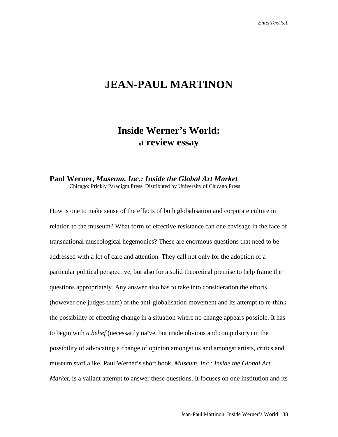## **JEAN-PAUL MARTINON**

## **Inside Werner's World: a review essay**

## **Paul Werner,** *Museum, Inc.: Inside the Global Art Market*

Chicago: Prickly Paradigm Press. Distributed by University of Chicago Press.

How is one to make sense of the effects of both globalisation and corporate culture in relation to the museum? What form of effective resistance can one envisage in the face of transnational museological hegemonies? These are enormous questions that need to be addressed with a lot of care and attention. They call not only for the adoption of a particular political perspective, but also for a solid theoretical premise to help frame the questions appropriately. Any answer also has to take into consideration the efforts (however one judges them) of the anti-globalisation movement and its attempt to re-think the possibility of effecting change in a situation where no change appears possible. It has to begin with *a belief* (necessarily naïve, but made obvious and compulsory) in the possibility of advocating a change of opinion amongst us and amongst artists, critics and museum staff alike. Paul Werner's short book, *Museum, Inc.: Inside the Global Art Market,* is a valiant attempt to answer these questions. It focuses on one institution and its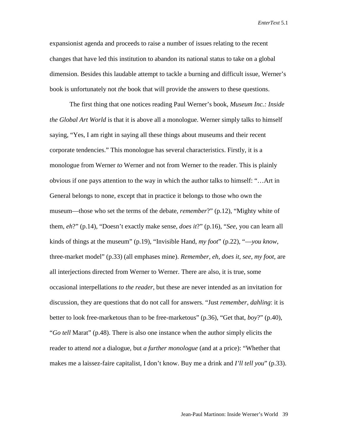expansionist agenda and proceeds to raise a number of issues relating to the recent changes that have led this institution to abandon its national status to take on a global dimension. Besides this laudable attempt to tackle a burning and difficult issue, Werner's book is unfortunately not *the* book that will provide the answers to these questions.

The first thing that one notices reading Paul Werner's book, *Museum Inc.: Inside the Global Art World* is that it is above all a monologue. Werner simply talks to himself saying, "Yes, I am right in saying all these things about museums and their recent corporate tendencies." This monologue has several characteristics. Firstly, it is a monologue from Werner *to* Werner and not from Werner to the reader. This is plainly obvious if one pays attention to the way in which the author talks to himself: "…Art in General belongs to none, except that in practice it belongs to those who own the museum—those who set the terms of the debate, *remember*?" (p.12), "Mighty white of them, *eh*?" (p.14), "Doesn't exactly make sense, *does it*?" (p.16), "*See*, you can learn all kinds of things at the museum" (p.19), "Invisible Hand, *my foot*" (p.22), "—*you know*, three-market model" (p.33) (all emphases mine). *Remember, eh, does it, see, my foot,* are all interjections directed from Werner to Werner. There are also, it is true, some occasional interpellations *to the reader*, but these are never intended as an invitation for discussion, they are questions that do not call for answers. "Just *remember, dahling*: it is better to look free-marketous than to be free-marketous" (p.36), "Get that, *boy*?" (p.40), "*Go tell* Marat" (p.48). There is also one instance when the author simply elicits the reader to attend *not* a dialogue, but *a further monologue* (and at a price): "Whether that makes me a laissez-faire capitalist, I don't know. Buy me a drink and *I'll tell you*" (p.33).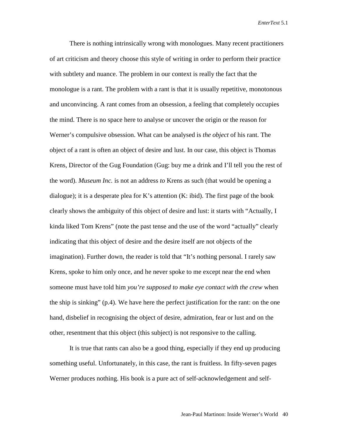There is nothing intrinsically wrong with monologues. Many recent practitioners of art criticism and theory choose this style of writing in order to perform their practice with subtlety and nuance. The problem in our context is really the fact that the monologue is a rant. The problem with a rant is that it is usually repetitive, monotonous and unconvincing. A rant comes from an obsession, a feeling that completely occupies the mind. There is no space here to analyse or uncover the origin or the reason for Werner's compulsive obsession. What can be analysed is *the object* of his rant. The object of a rant is often an object of desire and lust. In our case, this object is Thomas Krens, Director of the Gug Foundation (Gug: buy me a drink and I'll tell you the rest of the word). *Museum Inc.* is not an address *to* Krens as such (that would be opening a dialogue); it is a desperate plea for K's attention  $(K: ibid)$ . The first page of the book clearly shows the ambiguity of this object of desire and lust: it starts with "Actually, I kinda liked Tom Krens" (note the past tense and the use of the word "actually" clearly indicating that this object of desire and the desire itself are not objects of the imagination). Further down, the reader is told that "It's nothing personal. I rarely saw Krens, spoke to him only once, and he never spoke to me except near the end when someone must have told him *you're supposed to make eye contact with the crew* when the ship is sinking" (p.4). We have here the perfect justification for the rant: on the one hand, disbelief in recognising the object of desire, admiration, fear or lust and on the other, resentment that this object (this subject) is not responsive to the calling.

It is true that rants can also be a good thing, especially if they end up producing something useful. Unfortunately, in this case, the rant is fruitless. In fifty-seven pages Werner produces nothing. His book is a pure act of self-acknowledgement and self-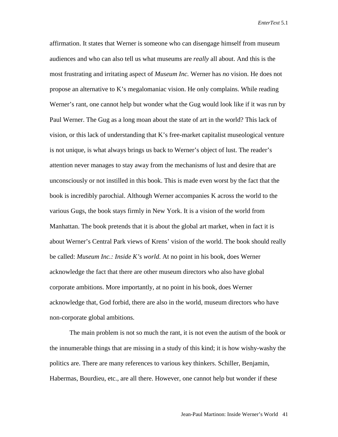affirmation. It states that Werner is someone who can disengage himself from museum audiences and who can also tell us what museums are *really* all about. And this is the most frustrating and irritating aspect of *Museum Inc.* Werner has *no* vision. He does not propose an alternative to K's megalomaniac vision. He only complains. While reading Werner's rant, one cannot help but wonder what the Gug would look like if it was run by Paul Werner. The Gug as a long moan about the state of art in the world? This lack of vision, or this lack of understanding that K's free-market capitalist museological venture is not unique, is what always brings us back to Werner's object of lust. The reader's attention never manages to stay away from the mechanisms of lust and desire that are unconsciously or not instilled in this book. This is made even worst by the fact that the book is incredibly parochial. Although Werner accompanies K across the world to the various Gugs, the book stays firmly in New York. It is a vision of the world from Manhattan. The book pretends that it is about the global art market, when in fact it is about Werner's Central Park views of Krens' vision of the world. The book should really be called: *Museum Inc.: Inside K's world*. At no point in his book, does Werner acknowledge the fact that there are other museum directors who also have global corporate ambitions. More importantly, at no point in his book, does Werner acknowledge that, God forbid, there are also in the world, museum directors who have non-corporate global ambitions.

The main problem is not so much the rant, it is not even the autism of the book or the innumerable things that are missing in a study of this kind; it is how wishy-washy the politics are. There are many references to various key thinkers. Schiller, Benjamin, Habermas, Bourdieu, etc., are all there. However, one cannot help but wonder if these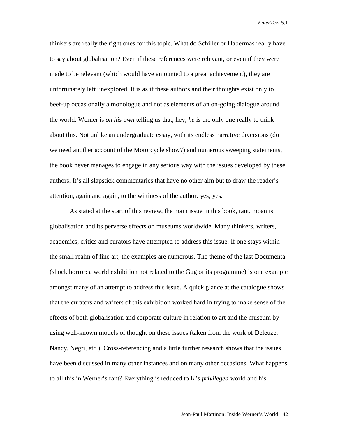thinkers are really the right ones for this topic. What do Schiller or Habermas really have to say about globalisation? Even if these references were relevant, or even if they were made to be relevant (which would have amounted to a great achievement), they are unfortunately left unexplored. It is as if these authors and their thoughts exist only to beef-up occasionally a monologue and not as elements of an on-going dialogue around the world. Werner is *on his own* telling us that, hey, *he* is the only one really to think about this. Not unlike an undergraduate essay, with its endless narrative diversions (do we need another account of the Motorcycle show?) and numerous sweeping statements, the book never manages to engage in any serious way with the issues developed by these authors. It's all slapstick commentaries that have no other aim but to draw the reader's attention, again and again, to the wittiness of the author: yes, yes.

As stated at the start of this review, the main issue in this book, rant, moan is globalisation and its perverse effects on museums worldwide. Many thinkers, writers, academics, critics and curators have attempted to address this issue. If one stays within the small realm of fine art, the examples are numerous. The theme of the last Documenta (shock horror: a world exhibition not related to the Gug or its programme) is one example amongst many of an attempt to address this issue. A quick glance at the catalogue shows that the curators and writers of this exhibition worked hard in trying to make sense of the effects of both globalisation and corporate culture in relation to art and the museum by using well-known models of thought on these issues (taken from the work of Deleuze, Nancy, Negri, etc.). Cross-referencing and a little further research shows that the issues have been discussed in many other instances and on many other occasions. What happens to all this in Werner's rant? Everything is reduced to K's *privileged* world and his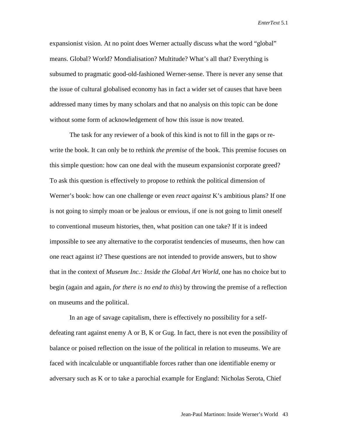expansionist vision. At no point does Werner actually discuss what the word "global" means. Global? World? Mondialisation? Multitude? What's all that? Everything is subsumed to pragmatic good-old-fashioned Werner-sense. There is never any sense that the issue of cultural globalised economy has in fact a wider set of causes that have been addressed many times by many scholars and that no analysis on this topic can be done without some form of acknowledgement of how this issue is now treated.

The task for any reviewer of a book of this kind is not to fill in the gaps or rewrite the book. It can only be to rethink *the premise* of the book. This premise focuses on this simple question: how can one deal with the museum expansionist corporate greed? To ask this question is effectively to propose to rethink the political dimension of Werner's book: how can one challenge or even *react against* K's ambitious plans? If one is not going to simply moan or be jealous or envious, if one is not going to limit oneself to conventional museum histories, then, what position can one take? If it is indeed impossible to see any alternative to the corporatist tendencies of museums, then how can one react against it? These questions are not intended to provide answers, but to show that in the context of *Museum Inc.: Inside the Global Art World*, one has no choice but to begin (again and again, *for there is no end to this*) by throwing the premise of a reflection on museums and the political.

In an age of savage capitalism, there is effectively no possibility for a selfdefeating rant against enemy A or B, K or Gug. In fact, there is not even the possibility of balance or poised reflection on the issue of the political in relation to museums. We are faced with incalculable or unquantifiable forces rather than one identifiable enemy or adversary such as K or to take a parochial example for England: Nicholas Serota, Chief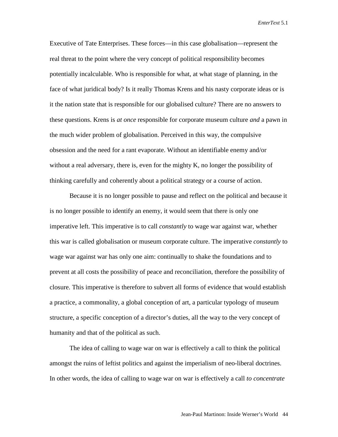Executive of Tate Enterprises. These forces—in this case globalisation—represent the real threat to the point where the very concept of political responsibility becomes potentially incalculable. Who is responsible for what, at what stage of planning, in the face of what juridical body? Is it really Thomas Krens and his nasty corporate ideas or is it the nation state that is responsible for our globalised culture? There are no answers to these questions. Krens is *at once* responsible for corporate museum culture *and* a pawn in the much wider problem of globalisation. Perceived in this way, the compulsive obsession and the need for a rant evaporate. Without an identifiable enemy and/or without a real adversary, there is, even for the mighty  $K$ , no longer the possibility of thinking carefully and coherently about a political strategy or a course of action.

Because it is no longer possible to pause and reflect on the political and because it is no longer possible to identify an enemy, it would seem that there is only one imperative left. This imperative is to call *constantly* to wage war against war, whether this war is called globalisation or museum corporate culture. The imperative *constantly* to wage war against war has only one aim: continually to shake the foundations and to prevent at all costs the possibility of peace and reconciliation, therefore the possibility of closure. This imperative is therefore to subvert all forms of evidence that would establish a practice, a commonality, a global conception of art, a particular typology of museum structure, a specific conception of a director's duties, all the way to the very concept of humanity and that of the political as such.

The idea of calling to wage war on war is effectively a call to think the political amongst the ruins of leftist politics and against the imperialism of neo-liberal doctrines. In other words, the idea of calling to wage war on war is effectively a call *to concentrate*

Jean-Paul Martinon: Inside Werner's World 44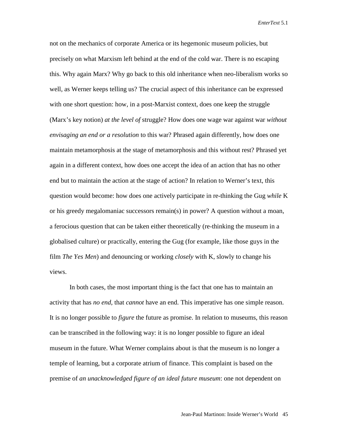not on the mechanics of corporate America or its hegemonic museum policies, but precisely on what Marxism left behind at the end of the cold war. There is no escaping this. Why again Marx? Why go back to this old inheritance when neo-liberalism works so well, as Werner keeps telling us? The crucial aspect of this inheritance can be expressed with one short question: how, in a post-Marxist context, does one keep the struggle (Marx's key notion) *at the level of* struggle? How does one wage war against war *without envisaging an end or a resolution* to this war? Phrased again differently, how does one maintain metamorphosis at the stage of metamorphosis and this without rest? Phrased yet again in a different context, how does one accept the idea of an action that has no other end but to maintain the action at the stage of action? In relation to Werner's text, this question would become: how does one actively participate in re-thinking the Gug *while* K or his greedy megalomaniac successors remain(s) in power? A question without a moan, a ferocious question that can be taken either theoretically (re-thinking the museum in a globalised culture) or practically, entering the Gug (for example, like those guys in the film *The Yes Men*) and denouncing or working *closely* with K, slowly to change his views.

In both cases, the most important thing is the fact that one has to maintain an activity that has *no end*, that *cannot* have an end. This imperative has one simple reason. It is no longer possible to *figure* the future as promise. In relation to museums, this reason can be transcribed in the following way: it is no longer possible to figure an ideal museum in the future. What Werner complains about is that the museum is no longer a temple of learning, but a corporate atrium of finance. This complaint is based on the premise of *an unacknowledged figure of an ideal future museum*: one not dependent on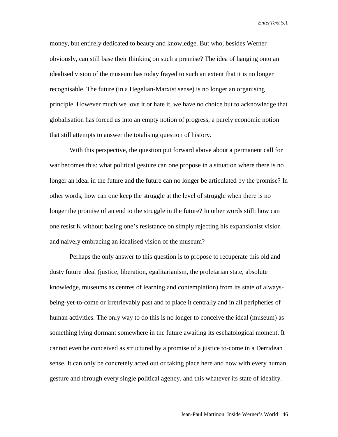money, but entirely dedicated to beauty and knowledge. But who, besides Werner obviously, can still base their thinking on such a premise? The idea of hanging onto an idealised vision of the museum has today frayed to such an extent that it is no longer recognisable. The future (in a Hegelian-Marxist sense) is no longer an organising principle. However much we love it or hate it, we have no choice but to acknowledge that globalisation has forced us into an empty notion of progress, a purely economic notion that still attempts to answer the totalising question of history.

With this perspective, the question put forward above about a permanent call for war becomes this: what political gesture can one propose in a situation where there is no longer an ideal in the future and the future can no longer be articulated by the promise? In other words, how can one keep the struggle at the level of struggle when there is no longer the promise of an end to the struggle in the future? In other words still: how can one resist K without basing one's resistance on simply rejecting his expansionist vision and naively embracing an idealised vision of the museum?

Perhaps the only answer to this question is to propose to recuperate this old and dusty future ideal (justice, liberation, egalitarianism, the proletarian state, absolute knowledge, museums as centres of learning and contemplation) from its state of alwaysbeing-yet-to-come or irretrievably past and to place it centrally and in all peripheries of human activities. The only way to do this is no longer to conceive the ideal (museum) as something lying dormant somewhere in the future awaiting its eschatological moment. It cannot even be conceived as structured by a promise of a justice to-come in a Derridean sense. It can only be concretely acted out or taking place here and now with every human gesture and through every single political agency, and this whatever its state of ideality.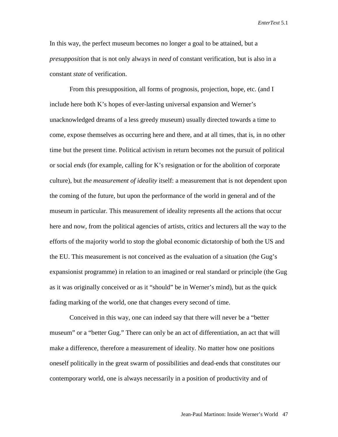In this way, the perfect museum becomes no longer a goal to be attained, but a *presupposition* that is not only always in *need* of constant verification, but is also in a constant *state* of verification.

From this presupposition, all forms of prognosis, projection, hope, etc. (and I include here both K's hopes of ever-lasting universal expansion and Werner's unacknowledged dreams of a less greedy museum) usually directed towards a time to come, expose themselves as occurring here and there, and at all times, that is, in no other time but the present time. Political activism in return becomes not the pursuit of political or social *ends* (for example, calling for K's resignation or for the abolition of corporate culture), but *the measurement of ideality* itself: a measurement that is not dependent upon the coming of the future, but upon the performance of the world in general and of the museum in particular. This measurement of ideality represents all the actions that occur here and now, from the political agencies of artists, critics and lecturers all the way to the efforts of the majority world to stop the global economic dictatorship of both the US and the EU. This measurement is not conceived as the evaluation of a situation (the Gug's expansionist programme) in relation to an imagined or real standard or principle (the Gug as it was originally conceived or as it "should" be in Werner's mind), but as the quick fading marking of the world, one that changes every second of time.

Conceived in this way, one can indeed say that there will never be a "better museum" or a "better Gug." There can only be an act of differentiation, an act that will make a difference, therefore a measurement of ideality. No matter how one positions oneself politically in the great swarm of possibilities and dead-ends that constitutes our contemporary world, one is always necessarily in a position of productivity and of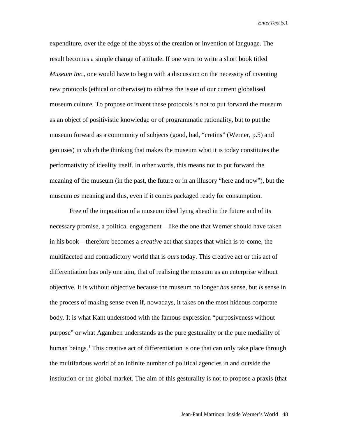expenditure, over the edge of the abyss of the creation or invention of language. The result becomes a simple change of attitude. If one were to write a short book titled *Museum Inc*., one would have to begin with a discussion on the necessity of inventing new protocols (ethical or otherwise) to address the issue of our current globalised museum culture. To propose or invent these protocols is not to put forward the museum as an object of positivistic knowledge or of programmatic rationality, but to put the museum forward as a community of subjects (good, bad, "cretins" (Werner, p.5) and geniuses) in which the thinking that makes the museum what it is today constitutes the performativity of ideality itself. In other words, this means not to put forward the meaning of the museum (in the past, the future or in an illusory "here and now"), but the museum *as* meaning and this, even if it comes packaged ready for consumption.

Free of the imposition of a museum ideal lying ahead in the future and of its necessary promise, a political engagement—like the one that Werner should have taken in his book—therefore becomes a *creative* act that shapes that which is to-come, the multifaceted and contradictory world that is *ours* today. This creative act or this act of differentiation has only one aim, that of realising the museum as an enterprise without objective. It is without objective because the museum no longer *has* sense, but *is* sense in the process of making sense even if, nowadays, it takes on the most hideous corporate body. It is what Kant understood with the famous expression "purposiveness without purpose" or what Agamben understands as the pure gesturality or the pure mediality of human beings.<sup>[1](#page-11-0)</sup> This creative act of differentiation is one that can only take place through the multifarious world of an infinite number of political agencies in and outside the institution or the global market. The aim of this gesturality is not to propose a praxis (that